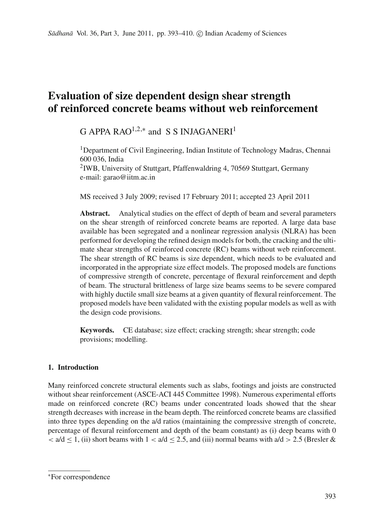# **Evaluation of size dependent design shear strength of reinforced concrete beams without web reinforcement**

# $G$  APPA RAO<sup>1,2,\*</sup> and S S INJAGANERI<sup>1</sup>

<sup>1</sup>Department of Civil Engineering, Indian Institute of Technology Madras, Chennai 600 036, India

2IWB, University of Stuttgart, Pfaffenwaldring 4, 70569 Stuttgart, Germany e-mail: garao@iitm.ac.in

MS received 3 July 2009; revised 17 February 2011; accepted 23 April 2011

**Abstract.** Analytical studies on the effect of depth of beam and several parameters on the shear strength of reinforced concrete beams are reported. A large data base available has been segregated and a nonlinear regression analysis (NLRA) has been performed for developing the refined design models for both, the cracking and the ultimate shear strengths of reinforced concrete (RC) beams without web reinforcement. The shear strength of RC beams is size dependent, which needs to be evaluated and incorporated in the appropriate size effect models. The proposed models are functions of compressive strength of concrete, percentage of flexural reinforcement and depth of beam. The structural brittleness of large size beams seems to be severe compared with highly ductile small size beams at a given quantity of flexural reinforcement. The proposed models have been validated with the existing popular models as well as with the design code provisions.

**Keywords.** CE database; size effect; cracking strength; shear strength; code provisions; modelling.

# **1. Introduction**

Many reinforced concrete structural elements such as slabs, footings and joists are constructed without shear reinforcement (ASCE-ACI 445 Committee 1998). Numerous experimental efforts made on reinforced concrete (RC) beams under concentrated loads showed that the shear strength decreases with increase in the beam depth. The reinforced concrete beams are classified into three types depending on the a/d ratios (maintaining the compressive strength of concrete, percentage of flexural reinforcement and depth of the beam constant) as (i) deep beams with 0  $\langle a/d \rangle$  < 1, (ii) short beams with 1  $\langle a/d \rangle$  < 2.5, and (iii) normal beams with  $a/d > 2.5$  (Bresler &

<sup>∗</sup>For correspondence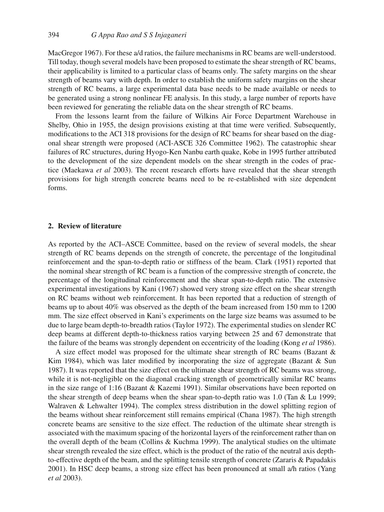MacGregor 1967). For these a/d ratios, the failure mechanisms in RC beams are well-understood. Till today, though several models have been proposed to estimate the shear strength of RC beams, their applicability is limited to a particular class of beams only. The safety margins on the shear strength of beams vary with depth. In order to establish the uniform safety margins on the shear strength of RC beams, a large experimental data base needs to be made available or needs to be generated using a strong nonlinear FE analysis. In this study, a large number of reports have been reviewed for generating the reliable data on the shear strength of RC beams.

From the lessons learnt from the failure of Wilkins Air Force Department Warehouse in Shelby, Ohio in 1955, the design provisions existing at that time were verified. Subsequently, modifications to the ACI 318 provisions for the design of RC beams for shear based on the diagonal shear strength were proposed (ACI-ASCE 326 Committee 1962). The catastrophic shear failures of RC structures, during Hyogo-Ken Nanbu earth quake, Kobe in 1995 further attributed to the development of the size dependent models on the shear strength in the codes of practice (Maekawa *et al* 2003). The recent research efforts have revealed that the shear strength provisions for high strength concrete beams need to be re-established with size dependent forms.

#### **2. Review of literature**

As reported by the ACI–ASCE Committee, based on the review of several models, the shear strength of RC beams depends on the strength of concrete, the percentage of the longitudinal reinforcement and the span-to-depth ratio or stiffness of the beam. Clark (1951) reported that the nominal shear strength of RC beam is a function of the compressive strength of concrete, the percentage of the longitudinal reinforcement and the shear span-to-depth ratio. The extensive experimental investigations by Kani (1967) showed very strong size effect on the shear strength on RC beams without web reinforcement. It has been reported that a reduction of strength of beams up to about 40% was observed as the depth of the beam increased from 150 mm to 1200 mm. The size effect observed in Kani's experiments on the large size beams was assumed to be due to large beam depth-to-breadth ratios (Taylor 1972). The experimental studies on slender RC deep beams at different depth-to-thickness ratios varying between 25 and 67 demonstrate that the failure of the beams was strongly dependent on eccentricity of the loading (Kong *et al* 1986).

A size effect model was proposed for the ultimate shear strength of RC beams (Bazant & Kim 1984), which was later modified by incorporating the size of aggregate (Bazant  $\&$  Sun 1987). It was reported that the size effect on the ultimate shear strength of RC beams was strong, while it is not-negligible on the diagonal cracking strength of geometrically similar RC beams in the size range of 1:16 (Bazant & Kazemi 1991). Similar observations have been reported on the shear strength of deep beams when the shear span-to-depth ratio was 1.0 (Tan & Lu 1999; Walraven & Lehwalter 1994). The complex stress distribution in the dowel splitting region of the beams without shear reinforcement still remains empirical (Chana 1987). The high strength concrete beams are sensitive to the size effect. The reduction of the ultimate shear strength is associated with the maximum spacing of the horizontal layers of the reinforcement rather than on the overall depth of the beam (Collins & Kuchma 1999). The analytical studies on the ultimate shear strength revealed the size effect, which is the product of the ratio of the neutral axis depthto-effective depth of the beam, and the splitting tensile strength of concrete (Zararis & Papadakis 2001). In HSC deep beams, a strong size effect has been pronounced at small a/h ratios (Yang *et al* 2003).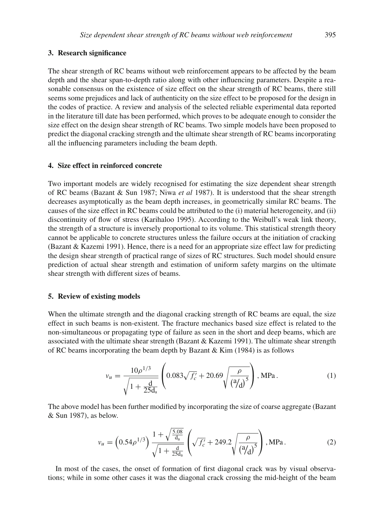#### **3. Research significance**

The shear strength of RC beams without web reinforcement appears to be affected by the beam depth and the shear span-to-depth ratio along with other influencing parameters. Despite a reasonable consensus on the existence of size effect on the shear strength of RC beams, there still seems some prejudices and lack of authenticity on the size effect to be proposed for the design in the codes of practice. A review and analysis of the selected reliable experimental data reported in the literature till date has been performed, which proves to be adequate enough to consider the size effect on the design shear strength of RC beams. Two simple models have been proposed to predict the diagonal cracking strength and the ultimate shear strength of RC beams incorporating all the influencing parameters including the beam depth.

## **4. Size effect in reinforced concrete**

Two important models are widely recognised for estimating the size dependent shear strength of RC beams (Bazant & Sun 1987; Niwa *et al* 1987). It is understood that the shear strength decreases asymptotically as the beam depth increases, in geometrically similar RC beams. The causes of the size effect in RC beams could be attributed to the (i) material heterogeneity, and (ii) discontinuity of flow of stress (Karihaloo 1995). According to the Weibull's weak link theory, the strength of a structure is inversely proportional to its volume. This statistical strength theory cannot be applicable to concrete structures unless the failure occurs at the initiation of cracking (Bazant & Kazemi 1991). Hence, there is a need for an appropriate size effect law for predicting the design shear strength of practical range of sizes of RC structures. Such model should ensure prediction of actual shear strength and estimation of uniform safety margins on the ultimate shear strength with different sizes of beams.

#### **5. Review of existing models**

When the ultimate strength and the diagonal cracking strength of RC beams are equal, the size effect in such beams is non-existent. The fracture mechanics based size effect is related to the non-simultaneous or propagating type of failure as seen in the short and deep beams, which are associated with the ultimate shear strength (Bazant & Kazemi 1991). The ultimate shear strength of RC beams incorporating the beam depth by Bazant & Kim (1984) is as follows

$$
v_u = \frac{10\rho^{1/3}}{\sqrt{1 + \frac{d}{25d_a}}} \left( 0.083\sqrt{f'_c} + 20.69\sqrt{\frac{\rho}{\left(\frac{a}{d}\right)^5}} \right), \text{MPa.} \tag{1}
$$

The above model has been further modified by incorporating the size of coarse aggregate (Bazant & Sun 1987), as below.

$$
v_u = \left(0.54 \rho^{1/3}\right) \frac{1 + \sqrt{\frac{5.08}{d_a}}}{\sqrt{1 + \frac{d}{25d_a}}} \left(\sqrt{f_c'} + 249.2 \sqrt{\frac{\rho}{\left(\frac{a}{d}\right)^5}}\right), \text{MPa}.
$$
 (2)

In most of the cases, the onset of formation of first diagonal crack was by visual observations; while in some other cases it was the diagonal crack crossing the mid-height of the beam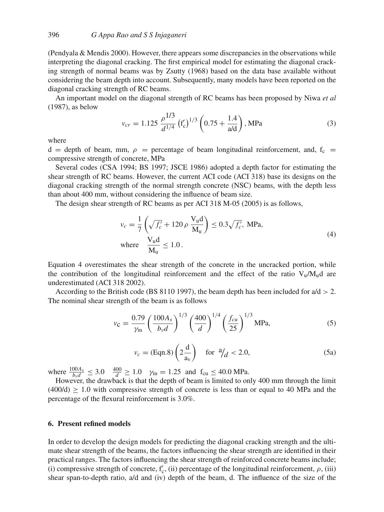(Pendyala & Mendis 2000). However, there appears some discrepancies in the observations while interpreting the diagonal cracking. The first empirical model for estimating the diagonal cracking strength of normal beams was by Zsutty (1968) based on the data base available without considering the beam depth into account. Subsequently, many models have been reported on the diagonal cracking strength of RC beams.

An important model on the diagonal strength of RC beams has been proposed by Niwa *et al* (1987), as below

$$
v_{cr} = 1.125 \frac{\rho^{1/3}}{d^{1/4}} \left(f_c'\right)^{1/3} \left(0.75 + \frac{1.4}{\text{a/d}}\right), \text{MPa} \tag{3}
$$

where

 $d =$  depth of beam, mm,  $\rho =$  percentage of beam longitudinal reinforcement, and,  $f_c =$ compressive strength of concrete, MPa

Several codes (CSA 1994; BS 1997; JSCE 1986) adopted a depth factor for estimating the shear strength of RC beams. However, the current ACI code (ACI 318) base its designs on the diagonal cracking strength of the normal strength concrete (NSC) beams, with the depth less than about 400 mm, without considering the influence of beam size.

The design shear strength of RC beams as per ACI 318 M-05 (2005) is as follows,

$$
v_c = \frac{1}{7} \left( \sqrt{f'_c} + 120 \rho \frac{V_u d}{M_u} \right) \le 0.3 \sqrt{f'_c}, \text{ MPa},
$$
  
where 
$$
\frac{V_u d}{M_u} \le 1.0.
$$
 (4)

Equation 4 overestimates the shear strength of the concrete in the uncracked portion, while the contribution of the longitudinal reinforcement and the effect of the ratio  $V_u/M_u/d$  are underestimated (ACI 318 2002).

According to the British code (BS 8110 1997), the beam depth has been included for  $a/d > 2$ . The nominal shear strength of the beam is as follows

$$
v_{\rm C} = \frac{0.79}{\gamma_{\rm m}} \left( \frac{100 A_s}{b_v d} \right)^{1/3} \left( \frac{400}{d} \right)^{1/4} \left( \frac{f_{cu}}{25} \right)^{1/3} \text{MPa},\tag{5}
$$

$$
v_c = (\text{Eqn.8}) \left( 2 \frac{\text{d}}{\text{a}_v} \right) \quad \text{for} \ \text{a}_{d} < 2.0,\tag{5a}
$$

where  $\frac{100A_s}{b_v d} \leq 3.0$   $\frac{400}{d} \geq 1.0$   $\gamma_m = 1.25$  and  $f_{cu} \leq 40.0$  MPa.

However, the drawback is that the depth of beam is limited to only 400 mm through the limit  $(400/d) \ge 1.0$  with compressive strength of concrete is less than or equal to 40 MPa and the percentage of the flexural reinforcement is 3.0%.

## **6. Present refined models**

In order to develop the design models for predicting the diagonal cracking strength and the ultimate shear strength of the beams, the factors influencing the shear strength are identified in their practical ranges. The factors influencing the shear strength of reinforced concrete beams include; (i) compressive strength of concrete,  $f'_{c}$ , (ii) percentage of the longitudinal reinforcement,  $\rho$ , (iii) shear span-to-depth ratio, a/d and (iv) depth of the beam, d. The influence of the size of the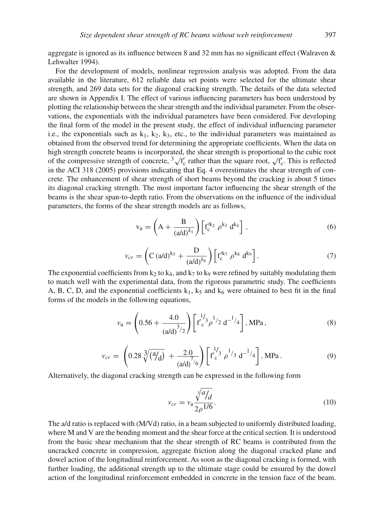aggregate is ignored as its influence between 8 and 32 mm has no significant effect (Walraven & Lehwalter 1994).

For the development of models, nonlinear regression analysis was adopted. From the data available in the literature, 612 reliable data set points were selected for the ultimate shear strength, and 269 data sets for the diagonal cracking strength. The details of the data selected are shown in Appendix I. The effect of various influencing parameters has been understood by plotting the relationship between the shear strength and the individual parameter. From the observations, the exponentials with the individual parameters have been considered. For developing the final form of the model in the present study, the effect of individual influencing parameter i.e., the exponentials such as  $k_1, k_2, k_3$ , etc., to the individual parameters was maintained as obtained from the observed trend for determining the appropriate coefficients. When the data on high strength concrete beams is incorporated, the shear strength is proportional to the cubic root of the compressive strength of concrete,  $\frac{3}{1}$   $\sqrt{f'_c}$  rather than the square root,  $\sqrt{f'_c}$ . This is reflected in the ACI 318 (2005) provisions indicating that Eq. 4 overestimates the shear strength of concrete. The enhancement of shear strength of short beams beyond the cracking is about 5 times its diagonal cracking strength. The most important factor influencing the shear strength of the beams is the shear span-to-depth ratio. From the observations on the influence of the individual parameters, the forms of the shear strength models are as follows,

$$
v_{u} = \left(A + \frac{B}{(a/d)^{k_1}}\right) \left[f_c^{k_2} \rho^{k_3} d^{k_4}\right],
$$
 (6)

$$
v_{cr} = \left( C (a/d)^{k_5} + \frac{D}{(a/d)^{k_6}} \right) \left[ f_c^{k_7} \rho^{k_8} d^{k_9} \right].
$$
 (7)

The exponential coefficients from  $k_2$  to  $k_4$ , and  $k_7$  to kg were refined by suitably modulating them to match well with the experimental data, from the rigorous parametric study. The coefficients A, B, C, D, and the exponential coefficients  $k_1$ ,  $k_5$  and  $k_6$  were obtained to best fit in the final forms of the models in the following equations,

$$
v_{\rm u} = \left(0.56 + \frac{4.0}{\left(\frac{a}{d}\right)^{3/2}}\right) \left[\text{f}'_{\rm c}^{1/3} \rho^{1/2} \text{ d}^{-1/4}\right], \text{MPa},\tag{8}
$$

$$
v_{cr} = \left(0.28\sqrt[3]{\left(\frac{a}{d}\right)} + \frac{2.0}{\left(\frac{a}{d}\right)^7/6}\right) \left[\int_0^{1/3} \rho^{1/3} d^{-1/4}\right], MPa. \tag{9}
$$

Alternatively, the diagonal cracking strength can be expressed in the following form

$$
v_{cr} = v_{\rm u} \frac{\sqrt[3]{a}}{2\rho^{1/6}}.
$$
\n(10)

The a/d ratio is replaced with (M/Vd) ratio, in a beam subjected to uniformly distributed loading, where M and V are the bending moment and the shear force at the critical section. It is understood from the basic shear mechanism that the shear strength of RC beams is contributed from the uncracked concrete in compression, aggregate friction along the diagonal cracked plane and dowel action of the longitudinal reinforcement. As soon as the diagonal cracking is formed, with further loading, the additional strength up to the ultimate stage could be ensured by the dowel action of the longitudinal reinforcement embedded in concrete in the tension face of the beam.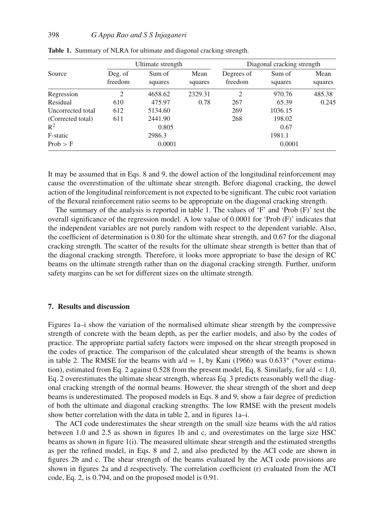|                   |                    | Ultimate strength |                 | Diagonal cracking strength |                   |                 |  |
|-------------------|--------------------|-------------------|-----------------|----------------------------|-------------------|-----------------|--|
| Source            | Deg. of<br>freedom | Sum of<br>squares | Mean<br>squares | Degrees of<br>freedom      | Sum of<br>squares | Mean<br>squares |  |
| Regression        | 2                  | 4658.62           | 2329.31         | $\overline{c}$             | 970.76            | 485.38          |  |
| Residual          | 610                | 475.97            | 0.78            | 267                        | 65.39             | 0.245           |  |
| Uncorrected total | 612                | 5134.60           |                 | 269                        | 1036.15           |                 |  |
| (Corrected total) | 611                | 2441.90           |                 | 268                        | 198.02            |                 |  |
| $R^2$             |                    | 0.805             |                 |                            | 0.67              |                 |  |
| F-static          | 2986.3             |                   |                 | 1981.1                     |                   |                 |  |
| Prob > F          | 0.0001             |                   |                 | 0.0001                     |                   |                 |  |

**Table 1.** Summary of NLRA for ultimate and diagonal cracking strength.

It may be assumed that in Eqs. 8 and 9, the dowel action of the longitudinal reinforcement may cause the overestimation of the ultimate shear strength. Before diagonal cracking, the dowel action of the longitudinal reinforcement is not expected to be significant. The cubic root variation of the flexural reinforcement ratio seems to be appropriate on the diagonal cracking strength.

The summary of the analysis is reported in table 1. The values of 'F' and 'Prob (F)' test the overall significance of the regression model. A low value of 0.0001 for 'Prob (F)' indicates that the independent variables are not purely random with respect to the dependent variable. Also, the coefficient of determination is 0.80 for the ultimate shear strength, and 0.67 for the diagonal cracking strength. The scatter of the results for the ultimate shear strength is better than that of the diagonal cracking strength. Therefore, it looks more appropriate to base the design of RC beams on the ultimate strength rather than on the diagonal cracking strength. Further, uniform safety margins can be set for different sizes on the ultimate strength.

#### **7. Results and discussion**

Figures 1a–i show the variation of the normalised ultimate shear strength by the compressive strength of concrete with the beam depth, as per the earlier models, and also by the codes of practice. The appropriate partial safety factors were imposed on the shear strength proposed in the codes of practice. The comparison of the calculated shear strength of the beams is shown in table 2. The RMSE for the beams with  $a/d = 1$ , by Kani (1966) was 0.633<sup>∗</sup> (\*over estimation), estimated from Eq. 2 against 0.528 from the present model, Eq. 8. Similarly, for  $a/d < 1.0$ , Eq. 2 overestimates the ultimate shear strength, whereas Eq. 3 predicts reasonably well the diagonal cracking strength of the normal beams. However, the shear strength of the short and deep beams is underestimated. The proposed models in Eqs. 8 and 9, show a fair degree of prediction of both the ultimate and diagonal cracking strengths. The low RMSE with the present models show better correlation with the data in table 2, and in figures 1a–i.

The ACI code underestimates the shear strength on the small size beams with the a/d ratios between 1.0 and 2.5 as shown in figures 1b and c, and overestimates on the large size HSC beams as shown in figure 1(i). The measured ultimate shear strength and the estimated strengths as per the refined model, in Eqs. 8 and 2, and also predicted by the ACI code are shown in figures 2b and c. The shear strength of the beams evaluated by the ACI code provisions are shown in figures 2a and d respectively. The correlation coefficient (r) evaluated from the ACI code, Eq. 2, is 0.794, and on the proposed model is 0.91.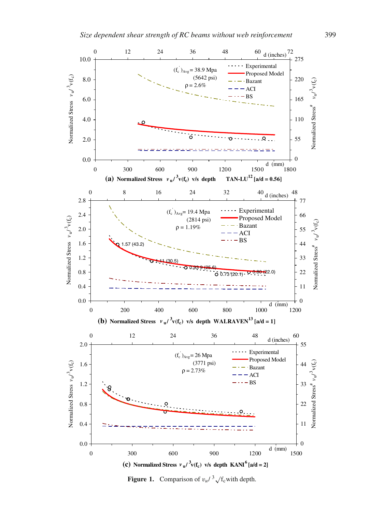

**Figure 1.** Comparison of  $v_u / \sqrt[3]{t_c}$  with depth.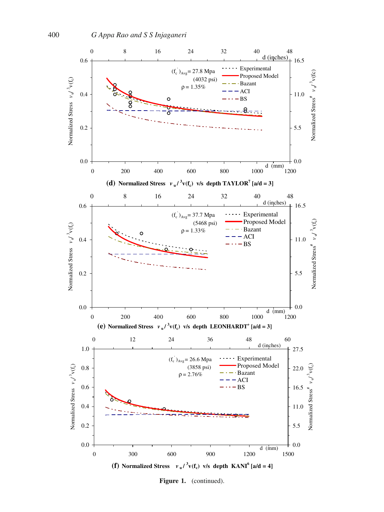

Figure 1. (continued).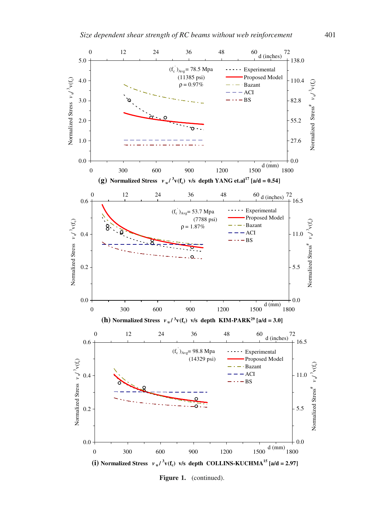

Figure 1. (continued).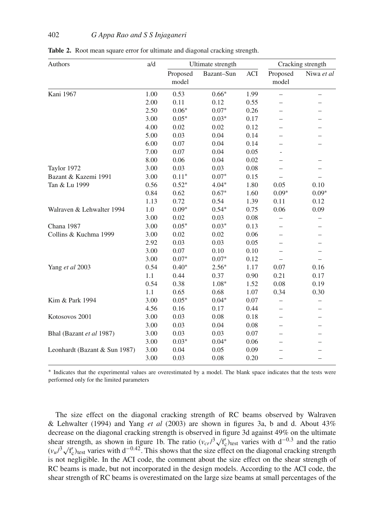| Authors                       | a/d  | Ultimate strength |            |      | Cracking strength        |            |
|-------------------------------|------|-------------------|------------|------|--------------------------|------------|
|                               |      | Proposed<br>model | Bazant-Sun | ACI  | Proposed<br>model        | Niwa et al |
| Kani 1967                     | 1.00 | 0.53              | $0.66*$    | 1.99 | $\overline{\phantom{0}}$ |            |
|                               | 2.00 | 0.11              | 0.12       | 0.55 |                          |            |
|                               | 2.50 | $0.06*$           | $0.07*$    | 0.26 |                          |            |
|                               | 3.00 | $0.05*$           | $0.03*$    | 0.17 |                          |            |
|                               | 4.00 | 0.02              | 0.02       | 0.12 |                          |            |
|                               | 5.00 | 0.03              | 0.04       | 0.14 |                          |            |
|                               | 6.00 | 0.07              | 0.04       | 0.14 |                          |            |
|                               | 7.00 | 0.07              | 0.04       | 0.05 |                          |            |
|                               | 8.00 | 0.06              | 0.04       | 0.02 |                          |            |
| Taylor 1972                   | 3.00 | 0.03              | 0.03       | 0.08 |                          |            |
| Bazant & Kazemi 1991          | 3.00 | $0.11*$           | $0.07*$    | 0.15 |                          |            |
| Tan & Lu 1999                 | 0.56 | $0.52*$           | $4.04*$    | 1.80 | 0.05                     | 0.10       |
|                               | 0.84 | 0.62              | $0.67*$    | 1.60 | $0.09*$                  | $0.09*$    |
|                               | 1.13 | 0.72              | 0.54       | 1.39 | 0.11                     | 0.12       |
| Walraven & Lehwalter 1994     | 1.0  | $0.09*$           | $0.54*$    | 0.75 | 0.06                     | 0.09       |
|                               | 3.00 | 0.02              | 0.03       | 0.08 |                          |            |
| Chana 1987                    | 3.00 | $0.05*$           | $0.03*$    | 0.13 |                          |            |
| Collins & Kuchma 1999         | 3.00 | 0.02              | 0.02       | 0.06 |                          |            |
|                               | 2.92 | 0.03              | 0.03       | 0.05 |                          |            |
|                               | 3.00 | 0.07              | 0.10       | 0.10 |                          |            |
|                               | 3.00 | $0.07*$           | $0.07*$    | 0.12 |                          |            |
| Yang et al 2003               | 0.54 | $0.40*$           | $2.56*$    | 1.17 | 0.07                     | 0.16       |
|                               | 1.1  | 0.44              | 0.37       | 0.90 | 0.21                     | 0.17       |
|                               | 0.54 | 0.38              | $1.08*$    | 1.52 | 0.08                     | 0.19       |
|                               | 1.1  | 0.65              | 0.68       | 1.07 | 0.34                     | 0.30       |
| Kim & Park 1994               | 3.00 | $0.05*$           | $0.04*$    | 0.07 |                          |            |
|                               | 4.56 | 0.16              | 0.17       | 0.44 |                          |            |
| Kotosovos 2001                | 3.00 | 0.03              | 0.08       | 0.18 |                          |            |
|                               | 3.00 | 0.03              | 0.04       | 0.08 |                          |            |
| Bhal (Bazant et al 1987)      | 3.00 | 0.03              | 0.03       | 0.07 |                          |            |
|                               | 3.00 | $0.03*$           | $0.04*$    | 0.06 |                          |            |
| Leonhardt (Bazant & Sun 1987) | 3.00 | 0.04              | 0.05       | 0.09 |                          |            |
|                               | 3.00 | 0.03              | 0.08       | 0.20 |                          |            |

**Table 2.** Root mean square error for ultimate and diagonal cracking strength.

<sup>∗</sup> Indicates that the experimental values are overestimated by a model. The blank space indicates that the tests were performed only for the limited parameters

The size effect on the diagonal cracking strength of RC beams observed by Walraven & Lehwalter (1994) and Yang *et al* (2003) are shown in figures 3a, b and d. About 43% decrease on the diagonal cracking strength is observed in figure 3d against 49% on the ultimate shear strength, as shown in figure 1b. The ratio  $(v_{cr}/^3 \sqrt{t'_c})_{\text{test}}$  varies with  $d^{-0.3}$  and the ratio  $\frac{d}{dt}$ Shear strength, as shown in figure 10. The ratio  $(v_{cr} / \sqrt{v_{c}})$  test varies with d<sup>-0.42</sup>. This shows that the size effect on the diagonal cracking strength is not negligible. In the ACI code, the comment about the size effect on the shear strength of RC beams is made, but not incorporated in the design models. According to the ACI code, the shear strength of RC beams is overestimated on the large size beams at small percentages of the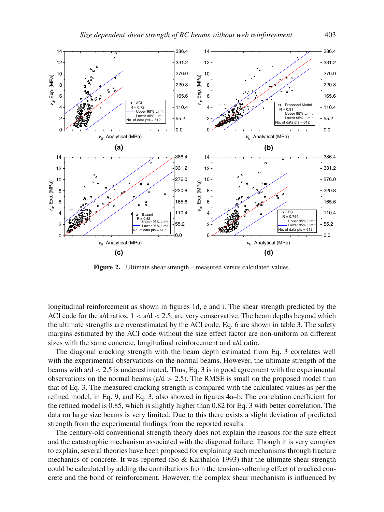

**Figure 2.** Ultimate shear strength – measured versus calculated values.

longitudinal reinforcement as shown in figures 1d, e and i. The shear strength predicted by the ACI code for the a/d ratios,  $1 < a/d < 2.5$ , are very conservative. The beam depths beyond which the ultimate strengths are overestimated by the ACI code, Eq. 6 are shown in table 3. The safety margins estimated by the ACI code without the size effect factor are non-uniform on different sizes with the same concrete, longitudinal reinforcement and a/d ratio.

The diagonal cracking strength with the beam depth estimated from Eq. 3 correlates well with the experimental observations on the normal beams. However, the ultimate strength of the beams with  $a/d < 2.5$  is underestimated. Thus, Eq. 3 is in good agreement with the experimental observations on the normal beams ( $a/d > 2.5$ ). The RMSE is small on the proposed model than that of Eq. 3. The measured cracking strength is compared with the calculated values as per the refined model, in Eq. 9, and Eq. 3, also showed in figures 4a–b. The correlation coefficient for the refined model is 0.85, which is slightly higher than 0.82 for Eq. 3 with better correlation. The data on large size beams is very limited. Due to this there exists a slight deviation of predicted strength from the experimental findings from the reported results.

The century-old conventional strength theory does not explain the reasons for the size effect and the catastrophic mechanism associated with the diagonal failure. Though it is very complex to explain, several theories have been proposed for explaining such mechanisms through fracture mechanics of concrete. It was reported (So & Karihaloo 1993) that the ultimate shear strength could be calculated by adding the contributions from the tension-softening effect of cracked concrete and the bond of reinforcement. However, the complex shear mechanism is influenced by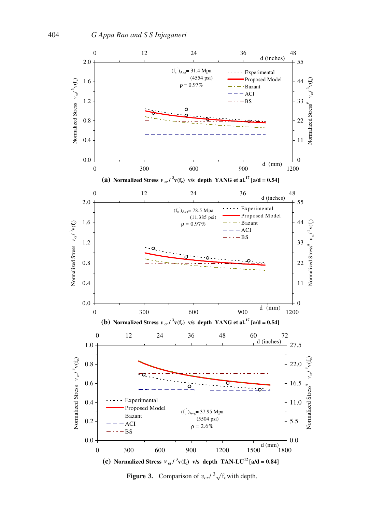

**Figure 3.** Comparison of  $v_{cr}$ / $\frac{3}{\sqrt{t_c}}$  with depth.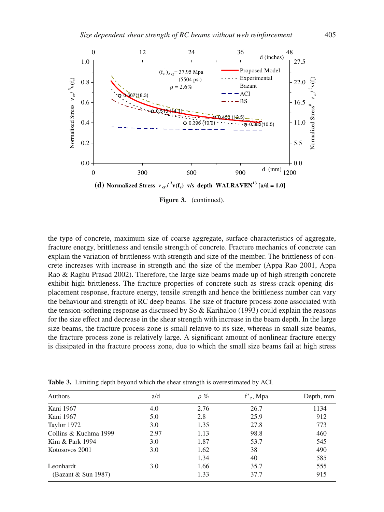

Figure 3. (continued).

the type of concrete, maximum size of coarse aggregate, surface characteristics of aggregate, fracture energy, brittleness and tensile strength of concrete. Fracture mechanics of concrete can explain the variation of brittleness with strength and size of the member. The brittleness of concrete increases with increase in strength and the size of the member (Appa Rao 2001, Appa Rao & Raghu Prasad 2002). Therefore, the large size beams made up of high strength concrete exhibit high brittleness. The fracture properties of concrete such as stress-crack opening displacement response, fracture energy, tensile strength and hence the brittleness number can vary the behaviour and strength of RC deep beams. The size of fracture process zone associated with the tension-softening response as discussed by So & Karihaloo (1993) could explain the reasons for the size effect and decrease in the shear strength with increase in the beam depth. In the large size beams, the fracture process zone is small relative to its size, whereas in small size beams, the fracture process zone is relatively large. A significant amount of nonlinear fracture energy is dissipated in the fracture process zone, due to which the small size beams fail at high stress

| Authors               | a/d  | $\rho \%$ | $f_c$ , Mpa | Depth, mm |
|-----------------------|------|-----------|-------------|-----------|
| Kani 1967             | 4.0  | 2.76      | 26.7        | 1134      |
| Kani 1967             | 5.0  | 2.8       | 25.9        | 912       |
| Taylor 1972           | 3.0  | 1.35      | 27.8        | 773       |
| Collins & Kuchma 1999 | 2.97 | 1.13      | 98.8        | 460       |
| Kim & Park 1994       | 3.0  | 1.87      | 53.7        | 545       |
| Kotosovos 2001        | 3.0  | 1.62      | 38          | 490       |
|                       |      | 1.34      | 40          | 585       |
| Leonhardt             | 3.0  | 1.66      | 35.7        | 555       |
| (Bazant & Sun 1987)   |      | 1.33      | 37.7        | 915       |

**Table 3.** Limiting depth beyond which the shear strength is overestimated by ACI.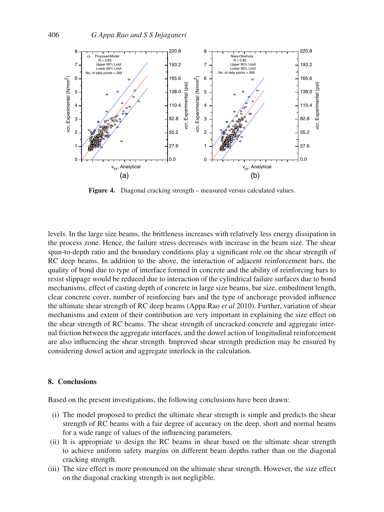

**Figure 4.** Diagonal cracking strength – measured versus calculated values.

levels. In the large size beams, the brittleness increases with relatively less energy dissipation in the process zone. Hence, the failure stress decreases with increase in the beam size. The shear span-to-depth ratio and the boundary conditions play a significant role on the shear strength of RC deep beams. In addition to the above, the interaction of adjacent reinforcement bars, the quality of bond due to type of interface formed in concrete and the ability of reinforcing bars to resist slippage would be reduced due to interaction of the cylindrical failure surfaces due to bond mechanisms, effect of casting depth of concrete in large size beams, bar size, embedment length, clear concrete cover, number of reinforcing bars and the type of anchorage provided influence the ultimate shear strength of RC deep beams (Appa Rao *et al* 2010). Further, variation of shear mechanisms and extent of their contribution are very important in explaining the size effect on the shear strength of RC beams. The shear strength of uncracked concrete and aggregate internal friction between the aggregate interfaces, and the dowel action of longitudinal reinforcement are also influencing the shear strength. Improved shear strength prediction may be ensured by considering dowel action and aggregate interlock in the calculation.

## **8. Conclusions**

Based on the present investigations, the following conclusions have been drawn:

- (i) The model proposed to predict the ultimate shear strength is simple and predicts the shear strength of RC beams with a fair degree of accuracy on the deep, short and normal beams for a wide range of values of the influencing parameters.
- (ii) It is appropriate to design the RC beams in shear based on the ultimate shear strength to achieve uniform safety margins on different beam depths rather than on the diagonal cracking strength.
- (iii) The size effect is more pronounced on the ultimate shear strength. However, the size effect on the diagonal cracking strength is not negligible.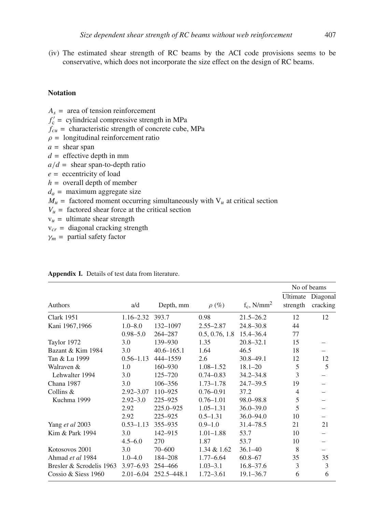(iv) The estimated shear strength of RC beams by the ACI code provisions seems to be conservative, which does not incorporate the size effect on the design of RC beams.

# **Notation**

 $A_s$  = area of tension reinforcement  $f'_{c}$  = cylindrical compressive strength in MPa  $f_{cu}$  = characteristic strength of concrete cube, MPa  $\rho =$  longitudinal reinforcement ratio *a =* shear span *d =* effective depth in mm  $a/d =$  shear span-to-depth ratio *e =* eccentricity of load *h =* overall depth of member  $d_a$  = maximum aggregate size  $M_u$  = factored moment occurring simultaneously with  $V_u$  at critical section  $V_u$  = factored shear force at the critical section  $v<sub>u</sub>$  = ultimate shear strength v*cr =* diagonal cracking strength

 $\gamma_m$  = partial safety factor

|               |                |                |                           |                      | No of beams                    |
|---------------|----------------|----------------|---------------------------|----------------------|--------------------------------|
| a/d           | Depth, mm      | $\rho(\%)$     | $f_c$ , N/mm <sup>2</sup> | Ultimate<br>strength | Diagonal<br>cracking           |
| $1.16 - 2.32$ | 393.7          | 0.98           | $21.5 - 26.2$             | 12                   | 12                             |
| $1.0 - 8.0$   | 132-1097       | $2.55 - 2.87$  | $24.8 - 30.8$             | 44                   |                                |
| $0.98 - 5.0$  | 264-287        | 0.5, 0.76, 1.8 | 15.4–36.4                 | 77                   |                                |
| 3.0           | 139-930        | 1.35           | $20.8 - 32.1$             | 15                   |                                |
| 3.0           | $40.6 - 165.1$ | 1.64           | 46.5                      | 18                   |                                |
| $0.56 - 1.13$ | 444-1559       | 2.6            | $30.8 - 49.1$             | 12                   | 12                             |
| 1.0           | $160 - 930$    | $1.08 - 1.52$  | $18.1 - 20$               | 5                    | 5                              |
| 3.0           | 125-720        | $0.74 - 0.83$  | $34.2 - 34.8$             | 3                    |                                |
| 3.0           | $106 - 356$    | $1.73 - 1.78$  | $24.7 - 39.5$             | 19                   |                                |
| $2.92 - 3.07$ | 110-925        | $0.76 - 0.91$  | 37.2                      | $\overline{4}$       |                                |
| $2.92 - 3.0$  | 225-925        | $0.76 - 1.01$  | $98.0 - 98.8$             | 5                    |                                |
| 2.92          | 225.0-925      | $1.05 - 1.31$  | $36.0 - 39.0$             | 5                    |                                |
| 2.92          | 225-925        | $0.5 - 1.31$   | $36.0 - 94.0$             | 10                   | -                              |
| $0.53 - 1.13$ | 355-935        | $0.9 - 1.0$    | 31.4–78.5                 | 21                   | 21                             |
| 3.0           | 142-915        | $1.01 - 1.88$  | 53.7                      | 10                   |                                |
| $4.5 - 6.0$   | 270            | 1.87           | 53.7                      | 10                   |                                |
| 3.0           | $70 - 600$     | $1.34 \& 1.62$ | $36.1 - 40$               | 8                    | $\qquad \qquad \longleftarrow$ |
| $1.0 - 4.0$   | 184-208        | $1.77 - 6.64$  | $60.8 - 67$               | 35                   | 35                             |
| $3.97 - 6.93$ | 254-466        | $1.03 - 3.1$   | $16.8 - 37.6$             | 3                    | 3                              |
| $2.01 - 6.04$ | 252.5-448.1    | $1.72 - 3.61$  | $19.1 - 36.7$             | 6                    | 6                              |
|               |                |                |                           |                      |                                |

#### **Appendix I.** Details of test data from literature.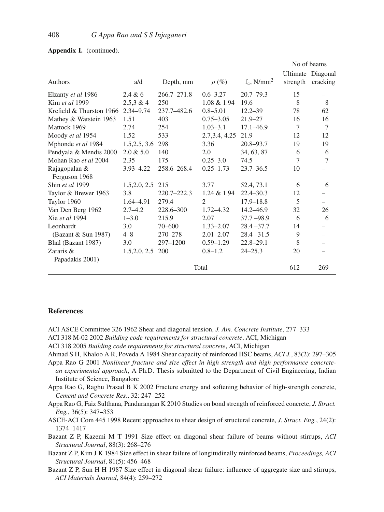|                          |               |                 |                |                           |          | No of beams       |
|--------------------------|---------------|-----------------|----------------|---------------------------|----------|-------------------|
|                          |               |                 |                |                           |          | Ultimate Diagonal |
| <b>Authors</b>           | a/d           | Depth, mm       | $\rho(\%)$     | $f_c$ , N/mm <sup>2</sup> | strength | cracking          |
| Elzanty et al 1986       | 2,4 & 6       | $266.7 - 271.8$ | $0.6 - 3.27$   | $20.7 - 79.3$             | 15       |                   |
| Kim et al 1999           | 2.5.3 & 4     | 250             | 1.08 & 1.94    | 19.6                      | 8        | 8                 |
| Krefield & Thurston 1966 | $2.34 - 9.74$ | 237.7-482.6     | $0.8 - 5.01$   | $12.2 - 39$               | 78       | 62                |
| Mathey & Watstein 1963   | 1.51          | 403             | $0.75 - 3.05$  | $21.9 - 27$               | 16       | 16                |
| Mattock 1969             | 2.74          | 254             | $1.03 - 3.1$   | $17.1 - 46.9$             | $\tau$   | 7                 |
| Moody et al 1954         | 1.52          | 533             | 2.7, 3.4, 4.25 | 21.9                      | 12       | 12                |
| Mphonde et al 1984       | 1.5, 2.5, 3.6 | 298             | 3.36           | $20.8 - 93.7$             | 19       | 19                |
| Pendyala & Mendis 2000   | $2.0 \& 5.0$  | 140             | 2.0            | 34, 63, 87                | 6        | 6                 |
| Mohan Rao et al 2004     | 2.35          | 175             | $0.25 - 3.0$   | 74.5                      | 7        | 7                 |
| Rajagopalan &            | $3.93 - 4.22$ | 258.6-268.4     | $0.25 - 1.73$  | $23.7 - 36.5$             | 10       |                   |
| Ferguson 1968            |               |                 |                |                           |          |                   |
| Shin et al 1999          | 1.5, 2.0, 2.5 | 215             | 3.77           | 52.4, 73.1                | 6        | 6                 |
| Taylor & Brewer 1963     | 3.8           | 220.7-222.3     | $1.24 \& 1.94$ | $22.4 - 30.3$             | 12       |                   |
| Taylor 1960              | 1.64–4.91     | 279.4           | 2              | $17.9 - 18.8$             | 5        | -                 |
| Van Den Berg 1962        | $2.7 - 4.2$   | 228.6-300       | $1.72 - 4.32$  | $14.2 - 46.9$             | 32       | 26                |
| Xie et al 1994           | $1 - 3.0$     | 215.9           | 2.07           | $37.7 - 98.9$             | 6        | 6                 |
| Leonhardt                | 3.0           | 70-600          | $1.33 - 2.07$  | $28.4 - 37.7$             | 14       | -                 |
| (Bazant & Sun 1987)      | $4 - 8$       | 270-278         | $2.01 - 2.07$  | $28.4 - 31.5$             | 9        |                   |
| Bhal (Bazant 1987)       | 3.0           | $297 - 1200$    | $0.59 - 1.29$  | $22.8 - 29.1$             | 8        |                   |
| Zararis $\&$             | 1.5, 2.0, 2.5 | 200             | $0.8 - 1.2$    | $24 - 25.3$               | 20       |                   |
| Papadakis 2001)          |               |                 |                |                           |          |                   |
| Total                    |               |                 |                |                           | 612      | 269               |

|  |  | <b>Appendix I.</b> (continued). |  |
|--|--|---------------------------------|--|
|--|--|---------------------------------|--|

## **References**

- ACI ASCE Committee 326 1962 Shear and diagonal tension, *J. Am. Concrete Institute*, 277–333
- ACI 318 M-02 2002 *Building code requirements for structural concrete*, ACI, Michigan
- ACI 318 2005 *Building code requirements for structural concrete*, ACI, Michigan
- Ahmad S H, Khaloo A R, Poveda A 1984 Shear capacity of reinforced HSC beams, *ACI J.*, 83(2): 297–305
- Appa Rao G 2001 *Nonlinear fracture and size effect in high strength and high performance concretean experimental approach*, A Ph.D. Thesis submitted to the Department of Civil Engineering, Indian Institute of Science, Bangalore
- Appa Rao G, Raghu Prasad B K 2002 Fracture energy and softening behavior of high-strength concrete, *Cement and Concrete Res.*, 32: 247–252
- Appa Rao G, Faiz Sulthana, Pandurangan K 2010 Studies on bond strength of reinforced concrete, *J. Struct. Eng.*, 36(5): 347–353
- ASCE-ACI Com 445 1998 Recent approaches to shear design of structural concrete, *J. Struct. Eng.*, 24(2): 1374–1417
- Bazant Z P, Kazemi M T 1991 Size effect on diagonal shear failure of beams without stirrups, *ACI Structural Journal*, 88(3): 268–276
- Bazant Z P, Kim J K 1984 Size effect in shear failure of longitudinally reinforced beams, *Proceedings, ACI Structural Journal*, 81(5): 456–468
- Bazant Z P, Sun H H 1987 Size effect in diagonal shear failure: influence of aggregate size and stirrups, *ACI Materials Journal*, 84(4): 259–272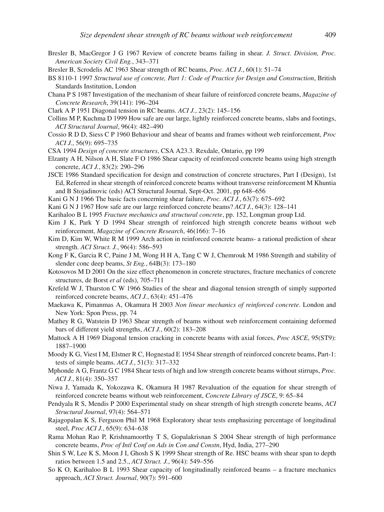- Bresler B, MacGregor J G 1967 Review of concrete beams failing in shear. *J. Struct. Division, Proc. American Society Civil Eng.*, 343–371
- Bresler B, Scrodelis AC 1963 Shear strength of RC beams, *Proc. ACI J.*, 60(1): 51–74
- BS 8110-1 1997 *Structural use of concrete, Part 1: Code of Practice for Design and Construction*, British Standards Institution, London
- Chana P S 1987 Investigation of the mechanism of shear failure of reinforced concrete beams, *Magazine of Concrete Research*, 39(141): 196–204
- Clark A P 1951 Diagonal tension in RC beams. *ACI J.*, 23(2): 145–156
- Collins M P, Kuchma D 1999 How safe are our large, lightly reinforced concrete beams, slabs and footings, *ACI Structural Journal*, 96(4): 482–490
- Cossio R D D, Siess C P 1960 Behaviour and shear of beams and frames without web reinforcement, *Proc ACI J.*, 56(9): 695–735
- CSA 1994 *Design of concrete structures*, CSA A23.3. Rexdale, Ontario, pp 199
- Elzanty A H, Nilson A H, Slate F O 1986 Shear capacity of reinforced concrete beams using high strength concrete, *ACI J.*, 83(2): 290–296
- JSCE 1986 Standard specification for design and construction of concrete structures, Part I (Design), 1st Ed, Referred in shear strength of reinforced concrete beams without transverse reinforcement M Khuntia and B Stojadinovic (eds) ACI Structural Journal, Sept-Oct. 2001, pp 648–656
- Kani G N J 1966 The basic facts concerning shear failure, *Proc. ACI J.*, 63(7): 675–692
- Kani G N J 1967 How safe are our large reinforced concrete beams? *ACI J.*, 64(3): 128–141
- Karihaloo B L 1995 *Fracture mechanics and structural concrete*, pp. 152, Longman group Ltd.
- Kim J K, Park Y D 1994 Shear strength of reinforced high strength concrete beams without web reinforcement, *Magazine of Concrete Research*, 46(166): 7–16
- Kim D, Kim W, White R M 1999 Arch action in reinforced concrete beams- a rational prediction of shear strength. *ACI Struct. J.*, 96(4): 586–593
- Kong F K, Garcia R C, Paine J M, Wong H H A, Tang C W J, Chemrouk M 1986 Strength and stability of slender conc deep beams, *St Eng.*, 64B(3): 173–180
- Kotosovos M D 2001 On the size effect phenomenon in concrete structures, fracture mechanics of concrete structures, de Borst *et al* (eds), 705–711
- Krefeld W J, Thurston C W 1966 Studies of the shear and diagonal tension strength of simply supported reinforced concrete beams, *ACI J.*, 63(4): 451–476
- Maekawa K, Pimanmas A, Okamura H 2003 *Non linear mechanics of reinforced concrete*. London and New York: Spon Press, pp. 74
- Mathey R G, Watstein D 1963 Shear strength of beams without web reinforcement containing deformed bars of different yield strengths, *ACI J.*, 60(2): 183–208
- Mattock A H 1969 Diagonal tension cracking in concrete beams with axial forces, *Proc ASCE*, 95(ST9): 1887–1900
- Moody K G, Viest I M, Elstner R C, Hognestad E 1954 Shear strength of reinforced concrete beams, Part-1: tests of simple beams. *ACI J.*, 51(3): 317–332
- Mphonde A G, Frantz G C 1984 Shear tests of high and low strength concrete beams without stirrups, *Proc. ACI J.*, 81(4): 350–357
- Niwa J, Yamada K, Yokozawa K, Okamura H 1987 Revaluation of the equation for shear strength of reinforced concrete beams without web reinforcement, *Concrete Library of JSCE*, 9: 65–84
- Pendyala R S, Mendis P 2000 Experimental study on shear strength of high strength concrete beams, *ACI Structural Journal*, 97(4): 564–571
- Rajagopalan K S, Ferguson Phil M 1968 Exploratory shear tests emphasizing percentage of longitudinal steel, *Proc ACI J.*, 65(9): 634–638
- Rama Mohan Rao P, Krishnamoorthy T S, Gopalakrisnan S 2004 Shear strength of high performance concrete beams, *Proc of Intl Conf on Ads in Con and Constn*, Hyd, India, 277–290
- Shin S W, Lee K S, Moon J I, Ghosh S K 1999 Shear strength of Re. HSC beams with shear span to depth ratios between 1.5 and 2.5., *ACI Struct. J.*, 96(4): 549–556
- So K O, Karihaloo B L 1993 Shear capacity of longitudinally reinforced beams a fracture mechanics approach, *ACI Struct. Journal*, 90(7): 591–600